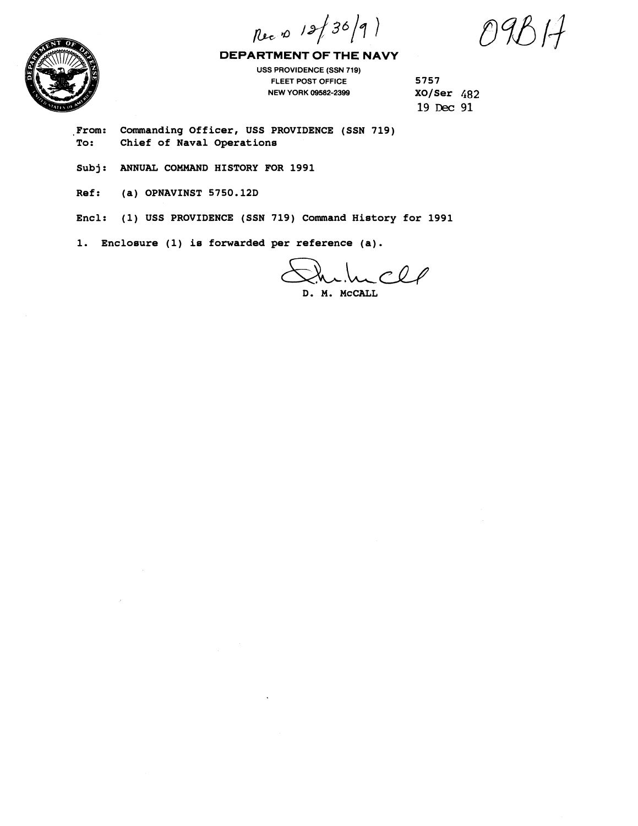Rec 10 12/30/9)

 $9B/7$ 



**DEPARTMENT OF THE NAVY** 

**USS PROVIDENCE (SSN 719) FLEET POST OFFICE 5757 NEW YORK 09582-2399** 

**19 neC 91** 

**From: Commanding Officer, USS PROVIDENCE (SSN 719) To: Chief of Naval Operations** 

**Subj: ANNUAL COMMAND HISTORY FOR 1991** 

**Ref: (a) OPNAVINST 5750.12D** 

**Encl: (1) USS PROVIDENCE (SSN 719) Command History for 1991** 

**1. Enclosure (1) is forwarded per reference (a).** 

D. M. MCCALL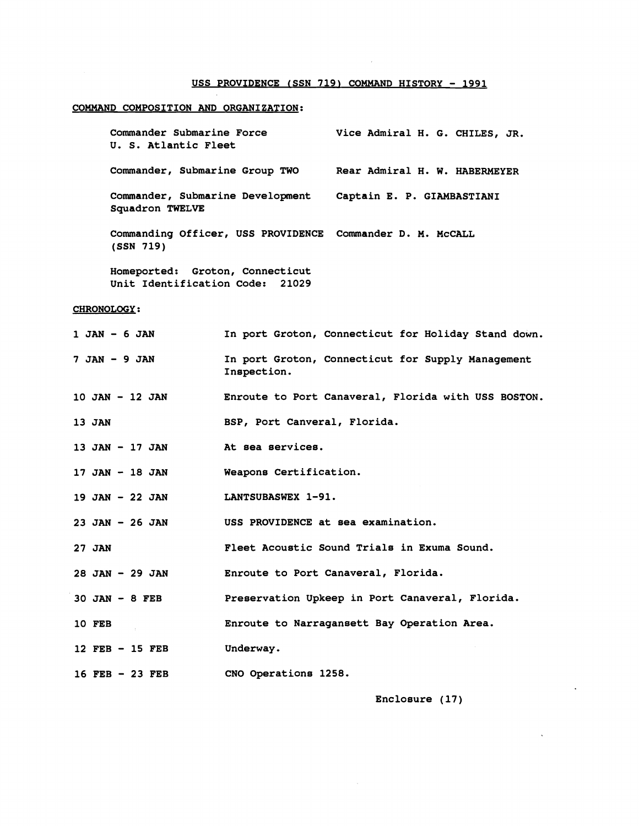#### USS PROVIDENCE (SSN 719) COMMAND HISTORY - 1991

### **COMMAND COMPOSITION AND ORGANIZATION:**

**Commander Submarine Force U. S. Atlantic Fleet Vice Admiral H. G. CHILES, JR. Commander, Submarine Group TWO Rear Admiral H. W. HABERMEYER Commander, Submarine Development Captain E. P. GIAMBASTIANI Squadron TWELVE Commanding Officer, USS PROVIDENCE Commander D. M. McCALL (SSN 719)** 

**Homeported: Groton, Connecticut Unit Identification Code: 21029** 

### **CHRONOLOGY:**

| 1 JAN - 6 JAN      | In port Groton, Connecticut for Holiday Stand down.              |
|--------------------|------------------------------------------------------------------|
| 7 JAN - 9 JAN      | In port Groton, Connecticut for Supply Management<br>Inspection. |
| 10 JAN - 12 JAN    | Enroute to Port Canaveral, Florida with USS BOSTON.              |
| 13 JAN             | BSP, Port Canveral, Florida.                                     |
| 13 JAN - 17 JAN    | At sea services.                                                 |
| 17 JAN - 18 JAN    | Weapons Certification.                                           |
| 19 JAN - 22 JAN    | LANTSUBASWEX 1-91.                                               |
| $23$ JAN $-26$ JAN | USS PROVIDENCE at sea examination.                               |
| 27 JAN             | Fleet Acoustic Sound Trials in Exuma Sound.                      |
| 28 JAN - 29 JAN    | Enroute to Port Canaveral, Florida.                              |
| $30$ JAN $-$ 8 FEB | Preservation Upkeep in Port Canaveral, Florida.                  |
| <b>10 FEB</b>      | Enroute to Narragansett Bay Operation Area.                      |
| $12$ FEB - 15 FEB  | Underway.                                                        |
| 16 FEB - 23 FEB    | CNO Operations 1258.                                             |

**Enclosure (17)**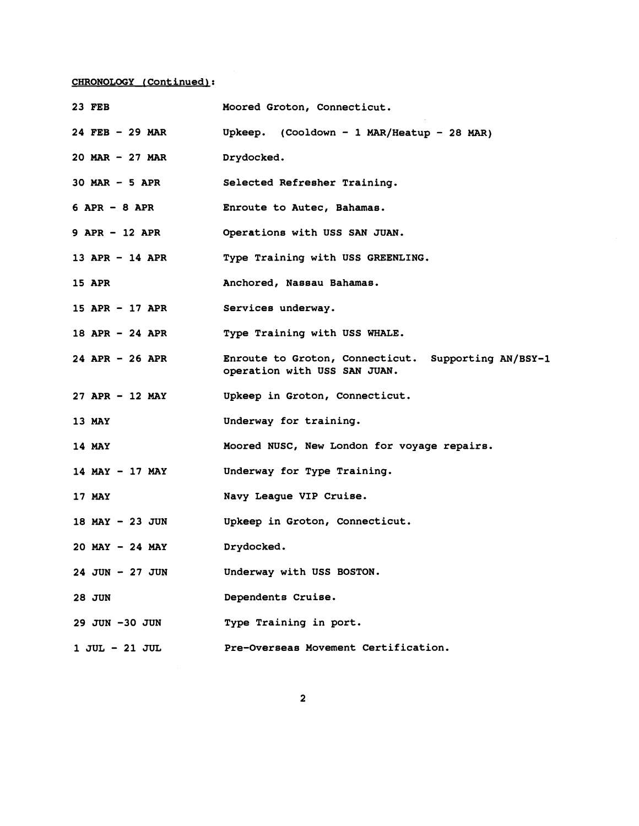# **CHRONOLOGY IContinuedl:**

| 23 FEB              | Moored Groton, Connecticut.                                                         |
|---------------------|-------------------------------------------------------------------------------------|
| $24$ FEB - 29 MAR   | Upkeep. (Cooldown - 1 MAR/Heatup - 28 MAR)                                          |
| $20$ MAR $-27$ MAR  | Drydocked.                                                                          |
| $30$ MAR $-5$ APR   | Selected Refresher Training.                                                        |
| $6$ APR $-$ 8 APR   | Enroute to Autec, Bahamas.                                                          |
| $9$ APR $-$ 12 APR  | Operations with USS SAN JUAN.                                                       |
| 13 APR $-$ 14 APR   | Type Training with USS GREENLING.                                                   |
| <b>15 APR</b>       | Anchored, Nassau Bahamas.                                                           |
| 15 APR - 17 APR     | Services underway.                                                                  |
| 18 APR $-24$ APR    | Type Training with USS WHALE.                                                       |
| $24$ APR - 26 APR   | Enroute to Groton, Connecticut. Supporting AN/BSY-1<br>operation with USS SAN JUAN. |
| $27$ APR - 12 MAY   | Upkeep in Groton, Connecticut.                                                      |
| 13 MAY              | Underway for training.                                                              |
| 14 MAY              | Moored NUSC, New London for voyage repairs.                                         |
| $14$ MAY - 17 MAY   | Underway for Type Training.                                                         |
| 17 MAY              | Navy League VIP Cruise.                                                             |
| $18$ MAY - 23 JUN   | Upkeep in Groton, Connecticut.                                                      |
| $20$ MAY $-$ 24 MAY | Drydocked.                                                                          |
| $24$ JUN - 27 JUN   | Underway with USS BOSTON.                                                           |
| <b>28 JUN</b>       | Dependents Cruise.                                                                  |
| 29 JUN -30 JUN      | Type Training in port.                                                              |
| 1 JUL - 21 JUL      | Pre-Overseas Movement Certification.                                                |